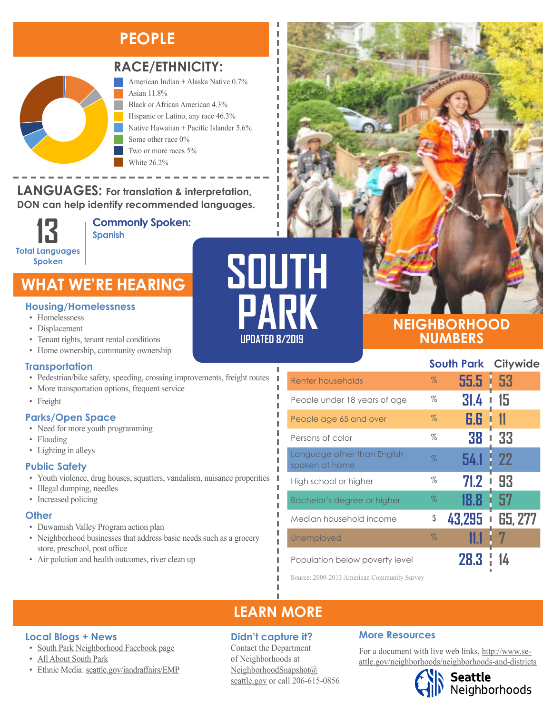## **PEOPLE**



#### **RACE/ETHNICITY:**

American Indian + Alaska Native 0.7% Asian 11.8% Black or African American 4.3% Hispanic or Latino, any race 46.3% Native Hawaiian + Pacific Islander 5.6% Some other race 0% Two or more races 5% White 26.2%

LANGUAGES: For translation & interpretation, **DON can help identify recommended languages.**

**13 Total Languages Spoken**

Black or African American Hispanic or Latino, any race

**Commonly Spoken: Spanish** 

## **WHAT WE'RE HEARING**

#### **Housing/Homelessness**

- Homelessness
- Displacement
- Tenant rights, tenant rental conditions
- Home ownership, community ownership

#### **Transportation**

- Pedestrian/bike safety, speeding, crossing improvements, freight routes
- More transportation options, frequent service
- Freight

#### **Parks/Open Space**

- Need for more youth programming
- Flooding
- Lighting in alleys

#### **Public Safety**

- Youth violence, drug houses, squatters, vandalism, nuisance properities
- Illegal dumping, needles

**Local Blogs + News**

• [All About South Park](http://allaboutsouthpark.com/neighborhood-association/)

• Increased policing

#### **Other**

- Duwamish Valley Program action plan
- Neighborhood businesses that address basic needs such as a grocery store, preschool, post office
- Air polution and health outcomes, river clean up

• [South Park Neighborhood Facebook page](https://www.facebook.com/groups/southparkwa/)

**SOUTH PARK UPDATED 8/2019**

#### **NEIGHBORHOOD NUMBERS**

|                                               | <b>South Park Citywide</b> |          |          |
|-----------------------------------------------|----------------------------|----------|----------|
| Renter households                             | $\%$                       | $55.5 -$ | 53       |
| People under 18 years of age                  | %                          | 31.4     | 15       |
| People age 65 and over                        | $\%$                       | 6.6      |          |
| Persons of color                              | %                          | 38       | 33       |
| Language other than English<br>spoken at home | $\%$                       | 54.1     | -22<br>p |
| High school or higher                         | %                          | 71.2     | 93       |
| Bachelor's degree or higher                   | $\%$                       | 18.8     | 57       |
| Median household income                       | \$                         | 43,295   | 65, 277  |
| Unemployed                                    | $\%$                       |          |          |
| Population below poverty level                |                            | 28.3     |          |

Source: 2009-2013 American Community Survey

## **LEARN MORE**

#### **Didn't capture it?**

Contact the Department of Neighborhoods at [NeighborhoodSnapshot@](mailto:NeighborhoodSnapshot%40%20seattle.gov?subject=) [seattle.gov](mailto:NeighborhoodSnapshot%40%20seattle.gov?subject=) or call 206-615-0856

#### **More Resources**

For a document with live web links, [http://www.se](http://www.seattle.gov/neighborhoods/neighborhoods-and-districts)[attle.gov/neighborhoods/neighborhoods-and-districts](http://www.seattle.gov/neighborhoods/neighborhoods-and-districts)



## Seattle<br>Neighborhoods

• Ethnic Media: [seattle.gov/iandraffairs/EMP](http://www.seattle.gov/iandraffairs/EMP)